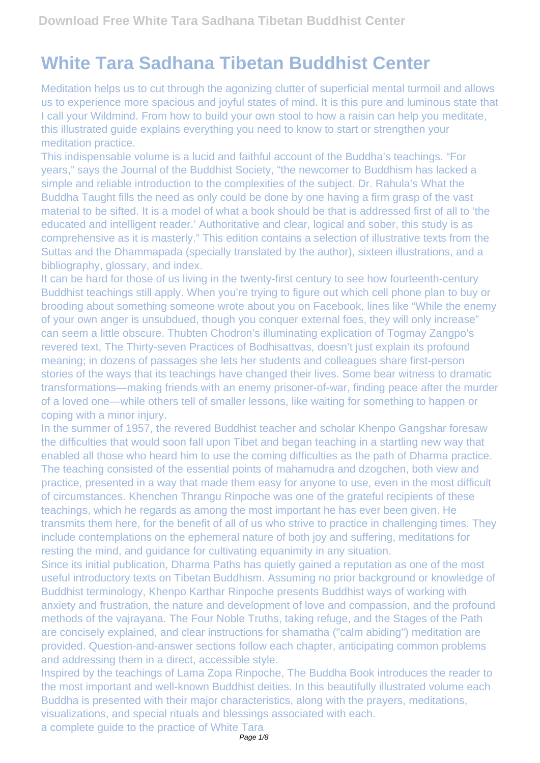## **White Tara Sadhana Tibetan Buddhist Center**

Meditation helps us to cut through the agonizing clutter of superficial mental turmoil and allows us to experience more spacious and joyful states of mind. It is this pure and luminous state that I call your Wildmind. From how to build your own stool to how a raisin can help you meditate, this illustrated guide explains everything you need to know to start or strengthen your meditation practice.

This indispensable volume is a lucid and faithful account of the Buddha's teachings. "For years," says the Journal of the Buddhist Society, "the newcomer to Buddhism has lacked a simple and reliable introduction to the complexities of the subject. Dr. Rahula's What the Buddha Taught fills the need as only could be done by one having a firm grasp of the vast material to be sifted. It is a model of what a book should be that is addressed first of all to 'the educated and intelligent reader.' Authoritative and clear, logical and sober, this study is as comprehensive as it is masterly." This edition contains a selection of illustrative texts from the Suttas and the Dhammapada (specially translated by the author), sixteen illustrations, and a bibliography, glossary, and index.

It can be hard for those of us living in the twenty-first century to see how fourteenth-century Buddhist teachings still apply. When you're trying to figure out which cell phone plan to buy or brooding about something someone wrote about you on Facebook, lines like "While the enemy of your own anger is unsubdued, though you conquer external foes, they will only increase" can seem a little obscure. Thubten Chodron's illuminating explication of Togmay Zangpo's revered text, The Thirty-seven Practices of Bodhisattvas, doesn't just explain its profound meaning; in dozens of passages she lets her students and colleagues share first-person stories of the ways that its teachings have changed their lives. Some bear witness to dramatic transformations—making friends with an enemy prisoner-of-war, finding peace after the murder of a loved one—while others tell of smaller lessons, like waiting for something to happen or coping with a minor injury.

In the summer of 1957, the revered Buddhist teacher and scholar Khenpo Gangshar foresaw the difficulties that would soon fall upon Tibet and began teaching in a startling new way that enabled all those who heard him to use the coming difficulties as the path of Dharma practice. The teaching consisted of the essential points of mahamudra and dzogchen, both view and practice, presented in a way that made them easy for anyone to use, even in the most difficult of circumstances. Khenchen Thrangu Rinpoche was one of the grateful recipients of these teachings, which he regards as among the most important he has ever been given. He transmits them here, for the benefit of all of us who strive to practice in challenging times. They include contemplations on the ephemeral nature of both joy and suffering, meditations for resting the mind, and guidance for cultivating equanimity in any situation.

Since its initial publication, Dharma Paths has quietly gained a reputation as one of the most useful introductory texts on Tibetan Buddhism. Assuming no prior background or knowledge of Buddhist terminology, Khenpo Karthar Rinpoche presents Buddhist ways of working with anxiety and frustration, the nature and development of love and compassion, and the profound methods of the vajrayana. The Four Noble Truths, taking refuge, and the Stages of the Path are concisely explained, and clear instructions for shamatha ("calm abiding") meditation are provided. Question-and-answer sections follow each chapter, anticipating common problems and addressing them in a direct, accessible style.

Inspired by the teachings of Lama Zopa Rinpoche, The Buddha Book introduces the reader to the most important and well-known Buddhist deities. In this beautifully illustrated volume each Buddha is presented with their major characteristics, along with the prayers, meditations, visualizations, and special rituals and blessings associated with each. a complete guide to the practice of White Tara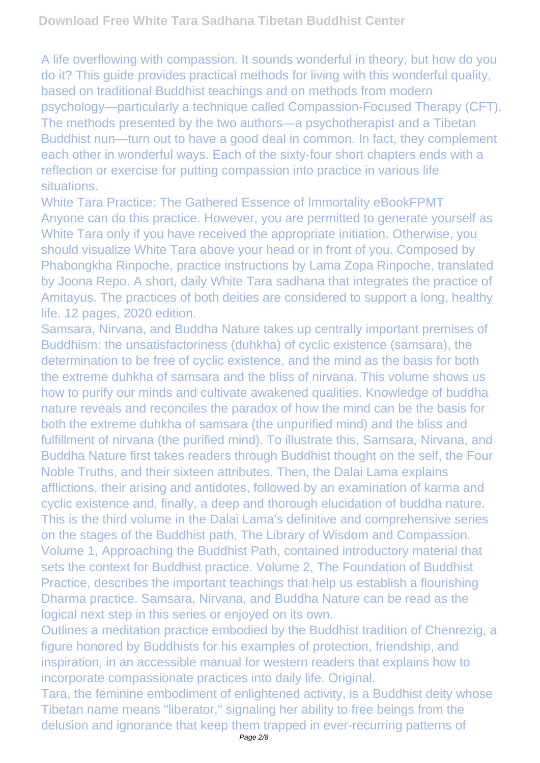A life overflowing with compassion. It sounds wonderful in theory, but how do you do it? This guide provides practical methods for living with this wonderful quality, based on traditional Buddhist teachings and on methods from modern psychology—particularly a technique called Compassion-Focused Therapy (CFT). The methods presented by the two authors—a psychotherapist and a Tibetan Buddhist nun—turn out to have a good deal in common. In fact, they complement each other in wonderful ways. Each of the sixty-four short chapters ends with a reflection or exercise for putting compassion into practice in various life situations.

White Tara Practice: The Gathered Essence of Immortality eBookFPMT Anyone can do this practice. However, you are permitted to generate yourself as White Tara only if you have received the appropriate initiation. Otherwise, you should visualize White Tara above your head or in front of you. Composed by Phabongkha Rinpoche, practice instructions by Lama Zopa Rinpoche, translated by Joona Repo. A short, daily White Tara sadhana that integrates the practice of Amitayus. The practices of both deities are considered to support a long, healthy life. 12 pages, 2020 edition.

Samsara, Nirvana, and Buddha Nature takes up centrally important premises of Buddhism: the unsatisfactoriness (duhkha) of cyclic existence (samsara), the determination to be free of cyclic existence, and the mind as the basis for both the extreme duhkha of samsara and the bliss of nirvana. This volume shows us how to purify our minds and cultivate awakened qualities. Knowledge of buddha nature reveals and reconciles the paradox of how the mind can be the basis for both the extreme duhkha of samsara (the unpurified mind) and the bliss and fulfillment of nirvana (the purified mind). To illustrate this, Samsara, Nirvana, and Buddha Nature first takes readers through Buddhist thought on the self, the Four Noble Truths, and their sixteen attributes. Then, the Dalai Lama explains afflictions, their arising and antidotes, followed by an examination of karma and cyclic existence and, finally, a deep and thorough elucidation of buddha nature. This is the third volume in the Dalai Lama's definitive and comprehensive series on the stages of the Buddhist path, The Library of Wisdom and Compassion. Volume 1, Approaching the Buddhist Path, contained introductory material that sets the context for Buddhist practice. Volume 2, The Foundation of Buddhist Practice, describes the important teachings that help us establish a flourishing Dharma practice. Samsara, Nirvana, and Buddha Nature can be read as the logical next step in this series or enjoyed on its own.

Outlines a meditation practice embodied by the Buddhist tradition of Chenrezig, a figure honored by Buddhists for his examples of protection, friendship, and inspiration, in an accessible manual for western readers that explains how to incorporate compassionate practices into daily life. Original.

Tara, the feminine embodiment of enlightened activity, is a Buddhist deity whose Tibetan name means "liberator," signaling her ability to free beings from the delusion and ignorance that keep them trapped in ever-recurring patterns of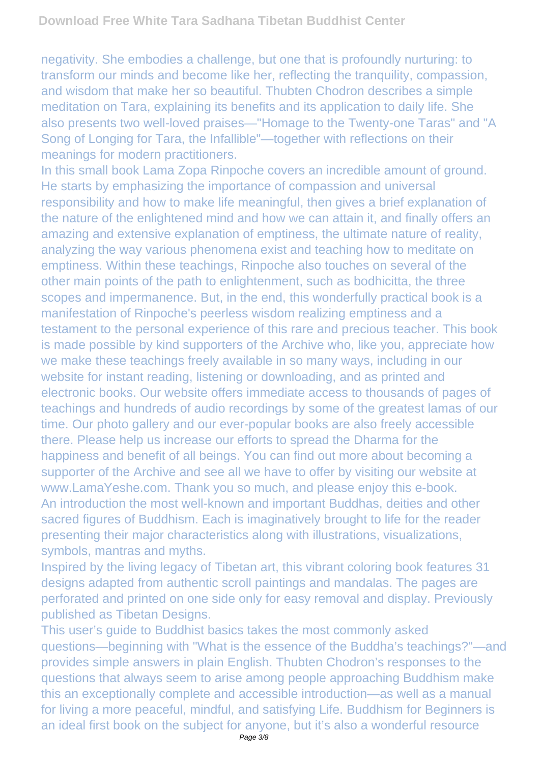negativity. She embodies a challenge, but one that is profoundly nurturing: to transform our minds and become like her, reflecting the tranquility, compassion, and wisdom that make her so beautiful. Thubten Chodron describes a simple meditation on Tara, explaining its benefits and its application to daily life. She also presents two well-loved praises—"Homage to the Twenty-one Taras" and "A Song of Longing for Tara, the Infallible"—together with reflections on their meanings for modern practitioners.

In this small book Lama Zopa Rinpoche covers an incredible amount of ground. He starts by emphasizing the importance of compassion and universal responsibility and how to make life meaningful, then gives a brief explanation of the nature of the enlightened mind and how we can attain it, and finally offers an amazing and extensive explanation of emptiness, the ultimate nature of reality, analyzing the way various phenomena exist and teaching how to meditate on emptiness. Within these teachings, Rinpoche also touches on several of the other main points of the path to enlightenment, such as bodhicitta, the three scopes and impermanence. But, in the end, this wonderfully practical book is a manifestation of Rinpoche's peerless wisdom realizing emptiness and a testament to the personal experience of this rare and precious teacher. This book is made possible by kind supporters of the Archive who, like you, appreciate how we make these teachings freely available in so many ways, including in our website for instant reading, listening or downloading, and as printed and electronic books. Our website offers immediate access to thousands of pages of teachings and hundreds of audio recordings by some of the greatest lamas of our time. Our photo gallery and our ever-popular books are also freely accessible there. Please help us increase our efforts to spread the Dharma for the happiness and benefit of all beings. You can find out more about becoming a supporter of the Archive and see all we have to offer by visiting our website at www.LamaYeshe.com. Thank you so much, and please enjoy this e-book. An introduction the most well-known and important Buddhas, deities and other sacred figures of Buddhism. Each is imaginatively brought to life for the reader presenting their major characteristics along with illustrations, visualizations, symbols, mantras and myths.

Inspired by the living legacy of Tibetan art, this vibrant coloring book features 31 designs adapted from authentic scroll paintings and mandalas. The pages are perforated and printed on one side only for easy removal and display. Previously published as Tibetan Designs.

This user's guide to Buddhist basics takes the most commonly asked questions—beginning with "What is the essence of the Buddha's teachings?"—and provides simple answers in plain English. Thubten Chodron's responses to the questions that always seem to arise among people approaching Buddhism make this an exceptionally complete and accessible introduction—as well as a manual for living a more peaceful, mindful, and satisfying Life. Buddhism for Beginners is an ideal first book on the subject for anyone, but it's also a wonderful resource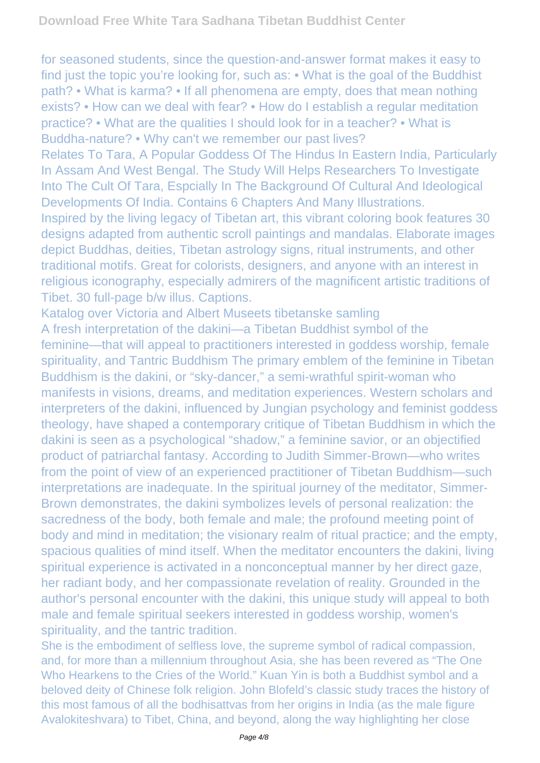for seasoned students, since the question-and-answer format makes it easy to find just the topic you're looking for, such as: • What is the goal of the Buddhist path? • What is karma? • If all phenomena are empty, does that mean nothing exists? • How can we deal with fear? • How do I establish a regular meditation practice? • What are the qualities I should look for in a teacher? • What is Buddha-nature? • Why can't we remember our past lives?

Relates To Tara, A Popular Goddess Of The Hindus In Eastern India, Particularly In Assam And West Bengal. The Study Will Helps Researchers To Investigate Into The Cult Of Tara, Espcially In The Background Of Cultural And Ideological Developments Of India. Contains 6 Chapters And Many Illustrations.

Inspired by the living legacy of Tibetan art, this vibrant coloring book features 30 designs adapted from authentic scroll paintings and mandalas. Elaborate images depict Buddhas, deities, Tibetan astrology signs, ritual instruments, and other traditional motifs. Great for colorists, designers, and anyone with an interest in religious iconography, especially admirers of the magnificent artistic traditions of Tibet. 30 full-page b/w illus. Captions.

Katalog over Victoria and Albert Museets tibetanske samling A fresh interpretation of the dakini—a Tibetan Buddhist symbol of the feminine—that will appeal to practitioners interested in goddess worship, female spirituality, and Tantric Buddhism The primary emblem of the feminine in Tibetan Buddhism is the dakini, or "sky-dancer," a semi-wrathful spirit-woman who manifests in visions, dreams, and meditation experiences. Western scholars and interpreters of the dakini, influenced by Jungian psychology and feminist goddess theology, have shaped a contemporary critique of Tibetan Buddhism in which the dakini is seen as a psychological "shadow," a feminine savior, or an objectified product of patriarchal fantasy. According to Judith Simmer-Brown—who writes from the point of view of an experienced practitioner of Tibetan Buddhism—such interpretations are inadequate. In the spiritual journey of the meditator, Simmer-Brown demonstrates, the dakini symbolizes levels of personal realization: the sacredness of the body, both female and male; the profound meeting point of body and mind in meditation; the visionary realm of ritual practice; and the empty, spacious qualities of mind itself. When the meditator encounters the dakini, living spiritual experience is activated in a nonconceptual manner by her direct gaze, her radiant body, and her compassionate revelation of reality. Grounded in the author's personal encounter with the dakini, this unique study will appeal to both male and female spiritual seekers interested in goddess worship, women's spirituality, and the tantric tradition.

She is the embodiment of selfless love, the supreme symbol of radical compassion, and, for more than a millennium throughout Asia, she has been revered as "The One Who Hearkens to the Cries of the World." Kuan Yin is both a Buddhist symbol and a beloved deity of Chinese folk religion. John Blofeld's classic study traces the history of this most famous of all the bodhisattvas from her origins in India (as the male figure Avalokiteshvara) to Tibet, China, and beyond, along the way highlighting her close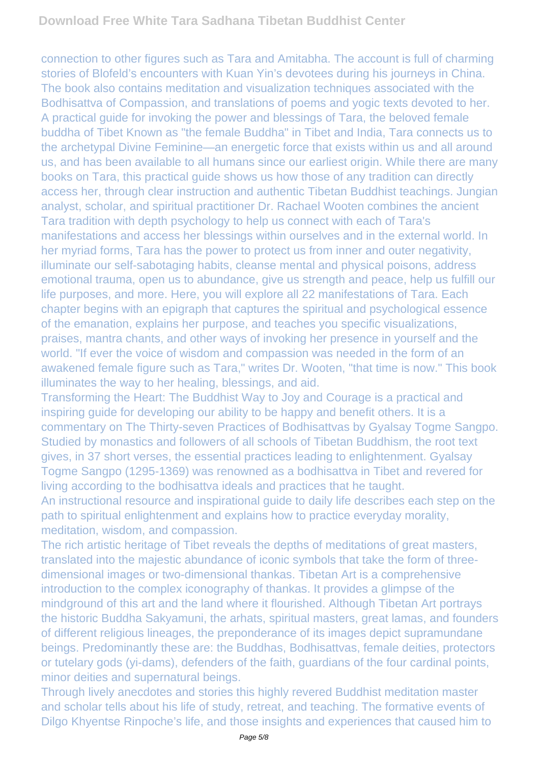connection to other figures such as Tara and Amitabha. The account is full of charming stories of Blofeld's encounters with Kuan Yin's devotees during his journeys in China. The book also contains meditation and visualization techniques associated with the Bodhisattva of Compassion, and translations of poems and yogic texts devoted to her. A practical guide for invoking the power and blessings of Tara, the beloved female buddha of Tibet Known as "the female Buddha" in Tibet and India, Tara connects us to the archetypal Divine Feminine—an energetic force that exists within us and all around us, and has been available to all humans since our earliest origin. While there are many books on Tara, this practical guide shows us how those of any tradition can directly access her, through clear instruction and authentic Tibetan Buddhist teachings. Jungian analyst, scholar, and spiritual practitioner Dr. Rachael Wooten combines the ancient Tara tradition with depth psychology to help us connect with each of Tara's manifestations and access her blessings within ourselves and in the external world. In her myriad forms, Tara has the power to protect us from inner and outer negativity, illuminate our self-sabotaging habits, cleanse mental and physical poisons, address emotional trauma, open us to abundance, give us strength and peace, help us fulfill our life purposes, and more. Here, you will explore all 22 manifestations of Tara. Each chapter begins with an epigraph that captures the spiritual and psychological essence of the emanation, explains her purpose, and teaches you specific visualizations, praises, mantra chants, and other ways of invoking her presence in yourself and the world. "If ever the voice of wisdom and compassion was needed in the form of an awakened female figure such as Tara," writes Dr. Wooten, "that time is now." This book illuminates the way to her healing, blessings, and aid.

Transforming the Heart: The Buddhist Way to Joy and Courage is a practical and inspiring guide for developing our ability to be happy and benefit others. It is a commentary on The Thirty-seven Practices of Bodhisattvas by Gyalsay Togme Sangpo. Studied by monastics and followers of all schools of Tibetan Buddhism, the root text gives, in 37 short verses, the essential practices leading to enlightenment. Gyalsay Togme Sangpo (1295-1369) was renowned as a bodhisattva in Tibet and revered for living according to the bodhisattva ideals and practices that he taught.

An instructional resource and inspirational guide to daily life describes each step on the path to spiritual enlightenment and explains how to practice everyday morality, meditation, wisdom, and compassion.

The rich artistic heritage of Tibet reveals the depths of meditations of great masters, translated into the majestic abundance of iconic symbols that take the form of threedimensional images or two-dimensional thankas. Tibetan Art is a comprehensive introduction to the complex iconography of thankas. It provides a glimpse of the mindground of this art and the land where it flourished. Although Tibetan Art portrays the historic Buddha Sakyamuni, the arhats, spiritual masters, great lamas, and founders of different religious lineages, the preponderance of its images depict supramundane beings. Predominantly these are: the Buddhas, Bodhisattvas, female deities, protectors or tutelary gods (yi-dams), defenders of the faith, guardians of the four cardinal points, minor deities and supernatural beings.

Through lively anecdotes and stories this highly revered Buddhist meditation master and scholar tells about his life of study, retreat, and teaching. The formative events of Dilgo Khyentse Rinpoche's life, and those insights and experiences that caused him to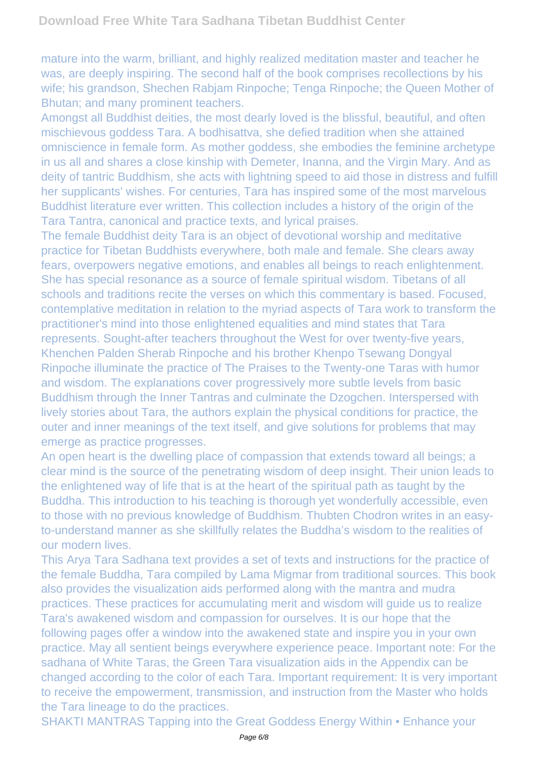mature into the warm, brilliant, and highly realized meditation master and teacher he was, are deeply inspiring. The second half of the book comprises recollections by his wife; his grandson, Shechen Rabjam Rinpoche; Tenga Rinpoche; the Queen Mother of Bhutan; and many prominent teachers.

Amongst all Buddhist deities, the most dearly loved is the blissful, beautiful, and often mischievous goddess Tara. A bodhisattva, she defied tradition when she attained omniscience in female form. As mother goddess, she embodies the feminine archetype in us all and shares a close kinship with Demeter, Inanna, and the Virgin Mary. And as deity of tantric Buddhism, she acts with lightning speed to aid those in distress and fulfill her supplicants' wishes. For centuries, Tara has inspired some of the most marvelous Buddhist literature ever written. This collection includes a history of the origin of the Tara Tantra, canonical and practice texts, and lyrical praises.

The female Buddhist deity Tara is an object of devotional worship and meditative practice for Tibetan Buddhists everywhere, both male and female. She clears away fears, overpowers negative emotions, and enables all beings to reach enlightenment. She has special resonance as a source of female spiritual wisdom. Tibetans of all schools and traditions recite the verses on which this commentary is based. Focused, contemplative meditation in relation to the myriad aspects of Tara work to transform the practitioner's mind into those enlightened equalities and mind states that Tara represents. Sought-after teachers throughout the West for over twenty-five years, Khenchen Palden Sherab Rinpoche and his brother Khenpo Tsewang Dongyal Rinpoche illuminate the practice of The Praises to the Twenty-one Taras with humor and wisdom. The explanations cover progressively more subtle levels from basic Buddhism through the Inner Tantras and culminate the Dzogchen. Interspersed with lively stories about Tara, the authors explain the physical conditions for practice, the outer and inner meanings of the text itself, and give solutions for problems that may emerge as practice progresses.

An open heart is the dwelling place of compassion that extends toward all beings; a clear mind is the source of the penetrating wisdom of deep insight. Their union leads to the enlightened way of life that is at the heart of the spiritual path as taught by the Buddha. This introduction to his teaching is thorough yet wonderfully accessible, even to those with no previous knowledge of Buddhism. Thubten Chodron writes in an easyto-understand manner as she skillfully relates the Buddha's wisdom to the realities of our modern lives.

This Arya Tara Sadhana text provides a set of texts and instructions for the practice of the female Buddha, Tara compiled by Lama Migmar from traditional sources. This book also provides the visualization aids performed along with the mantra and mudra practices. These practices for accumulating merit and wisdom will guide us to realize Tara's awakened wisdom and compassion for ourselves. It is our hope that the following pages offer a window into the awakened state and inspire you in your own practice. May all sentient beings everywhere experience peace. Important note: For the sadhana of White Taras, the Green Tara visualization aids in the Appendix can be changed according to the color of each Tara. Important requirement: It is very important to receive the empowerment, transmission, and instruction from the Master who holds the Tara lineage to do the practices.

SHAKTI MANTRAS Tapping into the Great Goddess Energy Within • Enhance your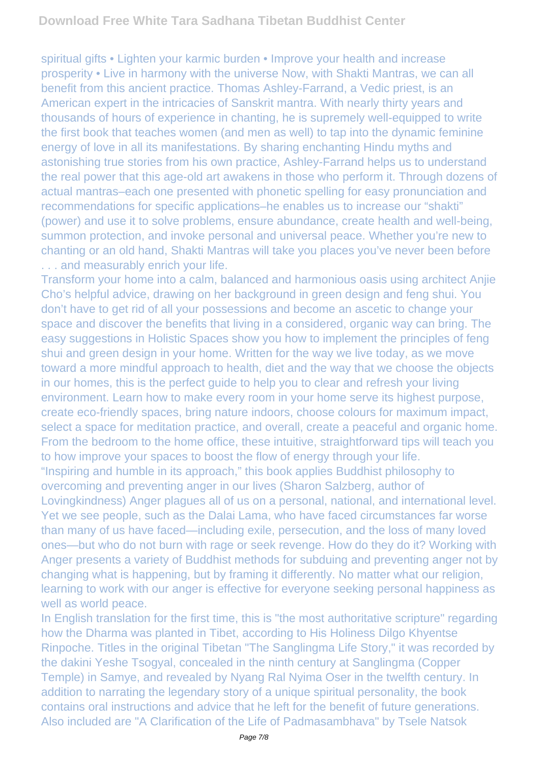spiritual gifts • Lighten your karmic burden • Improve your health and increase prosperity • Live in harmony with the universe Now, with Shakti Mantras, we can all benefit from this ancient practice. Thomas Ashley-Farrand, a Vedic priest, is an American expert in the intricacies of Sanskrit mantra. With nearly thirty years and thousands of hours of experience in chanting, he is supremely well-equipped to write the first book that teaches women (and men as well) to tap into the dynamic feminine energy of love in all its manifestations. By sharing enchanting Hindu myths and astonishing true stories from his own practice, Ashley-Farrand helps us to understand the real power that this age-old art awakens in those who perform it. Through dozens of actual mantras–each one presented with phonetic spelling for easy pronunciation and recommendations for specific applications–he enables us to increase our "shakti" (power) and use it to solve problems, ensure abundance, create health and well-being, summon protection, and invoke personal and universal peace. Whether you're new to chanting or an old hand, Shakti Mantras will take you places you've never been before . . . and measurably enrich your life.

Transform your home into a calm, balanced and harmonious oasis using architect Anjie Cho's helpful advice, drawing on her background in green design and feng shui. You don't have to get rid of all your possessions and become an ascetic to change your space and discover the benefits that living in a considered, organic way can bring. The easy suggestions in Holistic Spaces show you how to implement the principles of feng shui and green design in your home. Written for the way we live today, as we move toward a more mindful approach to health, diet and the way that we choose the objects in our homes, this is the perfect guide to help you to clear and refresh your living environment. Learn how to make every room in your home serve its highest purpose, create eco-friendly spaces, bring nature indoors, choose colours for maximum impact, select a space for meditation practice, and overall, create a peaceful and organic home. From the bedroom to the home office, these intuitive, straightforward tips will teach you to how improve your spaces to boost the flow of energy through your life. "Inspiring and humble in its approach," this book applies Buddhist philosophy to overcoming and preventing anger in our lives (Sharon Salzberg, author of Lovingkindness) Anger plagues all of us on a personal, national, and international level. Yet we see people, such as the Dalai Lama, who have faced circumstances far worse than many of us have faced—including exile, persecution, and the loss of many loved ones—but who do not burn with rage or seek revenge. How do they do it? Working with Anger presents a variety of Buddhist methods for subduing and preventing anger not by changing what is happening, but by framing it differently. No matter what our religion, learning to work with our anger is effective for everyone seeking personal happiness as

In English translation for the first time, this is "the most authoritative scripture" regarding how the Dharma was planted in Tibet, according to His Holiness Dilgo Khyentse Rinpoche. Titles in the original Tibetan "The Sanglingma Life Story," it was recorded by the dakini Yeshe Tsogyal, concealed in the ninth century at Sanglingma (Copper Temple) in Samye, and revealed by Nyang Ral Nyima Oser in the twelfth century. In addition to narrating the legendary story of a unique spiritual personality, the book contains oral instructions and advice that he left for the benefit of future generations. Also included are "A Clarification of the Life of Padmasambhava" by Tsele Natsok

well as world peace.